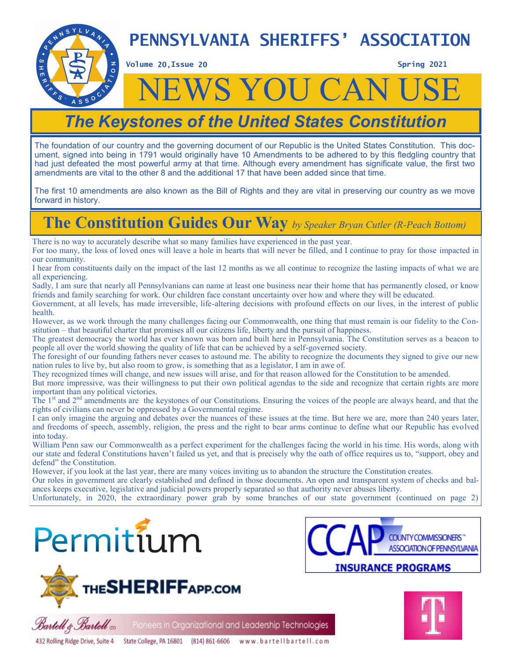

**Volume 20, Issue 20** 

 $A$  S S

**Spring 2021** 

# **WS YOU CAN**

# *The Keystones of the United States Constitution*

The foundation of our country and the governing document of our Republic is the United States Constitution. This document, signed into being in 1791 would originally have 10 Amendments to be adhered to by this fledgling country that had just defeated the most powerful army at that time. Although every amendment has significate value, the first two amendments are vital to the other 8 and the additional 17 that have been added since that time.

The first 10 amendments are also known as the Bill of Rights and they are vital in preserving our country as we move forward in history.

### **The Constitution Guides Our Way** *by Speaker Bryan Cutler (R-Peach Bottom)*

There is no way to accurately describe what so many families have experienced in the past year.

For too many, the loss of loved ones will leave a hole in hearts that will never be filled, and I continue to pray for those impacted in our community.

I hear from constituents daily on the impact of the last 12 months as we all continue to recognize the lasting impacts of what we are all experiencing.

Sadly, I am sure that nearly all Pennsylvanians can name at least one business near their home that has permanently closed, or know friends and family searching for work. Our children face constant uncertainty over how and where they will be educated.

Government, at all levels, has made irreversible, life-altering decisions with profound effects on our lives, in the interest of public health.

However, as we work through the many challenges facing our Commonwealth, one thing that must remain is our fidelity to the Constitution – that beautiful charter that promises all our citizens life, liberty and the pursuit of happiness.

The greatest democracy the world has ever known was born and built here in Pennsylvania. The Constitution serves as a beacon to people all over the world showing the quality of life that can be achieved by a self-governed society.

The foresight of our founding fathers never ceases to astound me. The ability to recognize the documents they signed to give our new nation rules to live by, but also room to grow, is something that as a legislator, I am in awe of.

They recognized times will change, and new issues will arise, and for that reason allowed for the Constitution to be amended.

But more impressive, was their willingness to put their own political agendas to the side and recognize that certain rights are more important than any political victories.

The  $1<sup>st</sup>$  and  $2<sup>nd</sup>$  amendments are the keystones of our Constitutions. Ensuring the voices of the people are always heard, and that the rights of civilians can never be oppressed by a Governmental regime.

I can only imagine the arguing and debates over the nuances of these issues at the time. But here we are, more than 240 years later, and freedoms of speech, assembly, religion, the press and the right to bear arms continue to define what our Republic has evolved into today.

William Penn saw our Commonwealth as a perfect experiment for the challenges facing the world in his time. His words, along with our state and federal Constitutions haven't failed us yet, and that is precisely why the oath of office requires us to, "support, obey and defend" the Constitution.

However, if you look at the last year, there are many voices inviting us to abandon the structure the Constitution creates.

Our roles in government are clearly established and defined in those documents. An open and transparent system of checks and balances keeps executive, legislative and judicial powers properly separated so that authority never abuses liberty.

Unfortunately, in 2020, the extraordinary power grab by some branches of our state government (continued on page 2)



Bartell & Bartell vo







Pioneers in Organizational and Leadership Technologies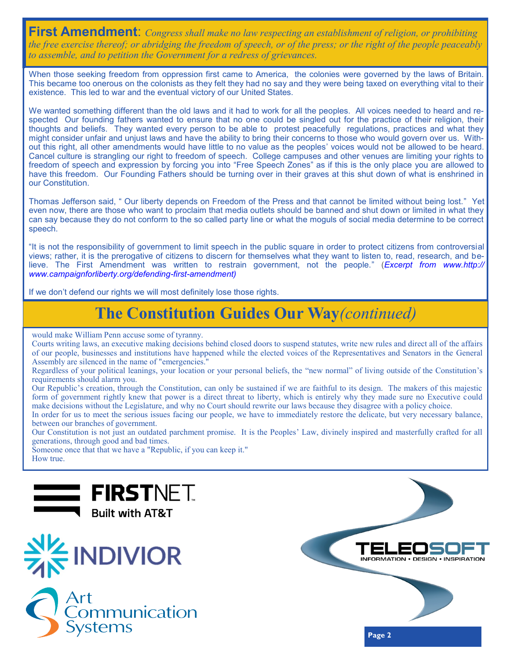**First Amendment**: *Congress shall make no law respecting an establishment of religion, or prohibiting the free exercise thereof; or abridging the freedom of speech, or of the press; or the right of the people peaceably to assemble, and to petition the Government for a redress of grievances.* 

When those seeking freedom from oppression first came to America, the colonies were governed by the laws of Britain. This became too onerous on the colonists as they felt they had no say and they were being taxed on everything vital to their existence. This led to war and the eventual victory of our United States.

We wanted something different than the old laws and it had to work for all the peoples. All voices needed to heard and respected Our founding fathers wanted to ensure that no one could be singled out for the practice of their religion, their thoughts and beliefs. They wanted every person to be able to protest peacefully regulations, practices and what they might consider unfair and unjust laws and have the ability to bring their concerns to those who would govern over us. Without this right, all other amendments would have little to no value as the peoples' voices would not be allowed to be heard. Cancel culture is strangling our right to freedom of speech. College campuses and other venues are limiting your rights to freedom of speech and expression by forcing you into "Free Speech Zones" as if this is the only place you are allowed to have this freedom. Our Founding Fathers should be turning over in their graves at this shut down of what is enshrined in our Constitution.

Thomas Jefferson said, " Our liberty depends on Freedom of the Press and that cannot be limited without being lost." Yet even now, there are those who want to proclaim that media outlets should be banned and shut down or limited in what they can say because they do not conform to the so called party line or what the moguls of social media determine to be correct speech.

"It is not the responsibility of government to limit speech in the public square in order to protect citizens from controversial views; rather, it is the prerogative of citizens to discern for themselves what they want to listen to, read, research, and believe. The First Amendment was written to restrain government, not the people." (*Excerpt from www.http:// www.campaignforliberty.org/defending-first-amendment)*

If we don't defend our rights we will most definitely lose those rights.

# **The Constitution Guides Our Way***(continued)*

would make William Penn accuse some of tyranny.

Courts writing laws, an executive making decisions behind closed doors to suspend statutes, write new rules and direct all of the affairs of our people, businesses and institutions have happened while the elected voices of the Representatives and Senators in the General Assembly are silenced in the name of "emergencies."

Regardless of your political leanings, your location or your personal beliefs, the "new normal" of living outside of the Constitution's requirements should alarm you.

Our Republic's creation, through the Constitution, can only be sustained if we are faithful to its design. The makers of this majestic form of government rightly knew that power is a direct threat to liberty, which is entirely why they made sure no Executive could make decisions without the Legislature, and why no Court should rewrite our laws because they disagree with a policy choice.

In order for us to meet the serious issues facing our people, we have to immediately restore the delicate, but very necessary balance, between our branches of government.

Our Constitution is not just an outdated parchment promise. It is the Peoples' Law, divinely inspired and masterfully crafted for all generations, through good and bad times.

Someone once that that we have a "Republic, if you can keep it." How true.







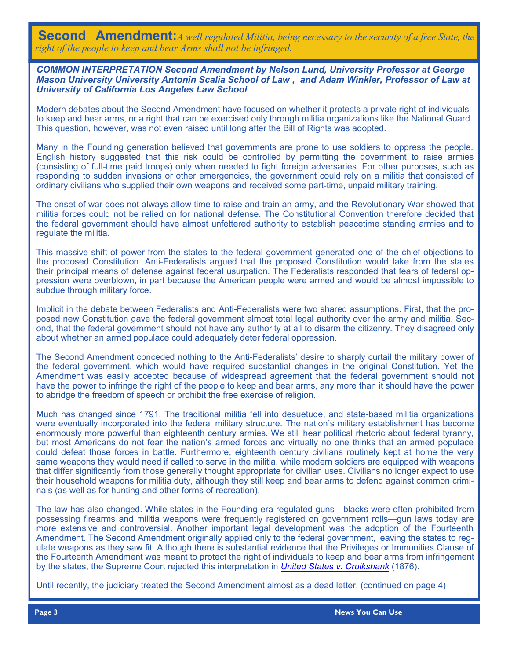**Second Amendment:***A well regulated Militia, being necessary to the security of a free State, the right of the people to keep and bear Arms shall not be infringed.*

*COMMON INTERPRETATION Second Amendment by Nelson Lund, University Professor at George Mason University University Antonin Scalia School of Law , and Adam Winkler, Professor of Law at University of California Los Angeles Law School* 

Modern debates about the Second Amendment have focused on whether it protects a private right of individuals to keep and bear arms, or a right that can be exercised only through militia organizations like the National Guard. This question, however, was not even raised until long after the Bill of Rights was adopted.

Many in the Founding generation believed that governments are prone to use soldiers to oppress the people. English history suggested that this risk could be controlled by permitting the government to raise armies (consisting of full-time paid troops) only when needed to fight foreign adversaries. For other purposes, such as responding to sudden invasions or other emergencies, the government could rely on a militia that consisted of ordinary civilians who supplied their own weapons and received some part-time, unpaid military training.

The onset of war does not always allow time to raise and train an army, and the Revolutionary War showed that militia forces could not be relied on for national defense. The Constitutional Convention therefore decided that the federal government should have almost unfettered authority to establish peacetime standing armies and to regulate the militia.

This massive shift of power from the states to the federal government generated one of the chief objections to the proposed Constitution. Anti-Federalists argued that the proposed Constitution would take from the states their principal means of defense against federal usurpation. The Federalists responded that fears of federal oppression were overblown, in part because the American people were armed and would be almost impossible to subdue through military force.

Implicit in the debate between Federalists and Anti-Federalists were two shared assumptions. First, that the proposed new Constitution gave the federal government almost total legal authority over the army and militia. Second, that the federal government should not have any authority at all to disarm the citizenry. They disagreed only about whether an armed populace could adequately deter federal oppression.

The Second Amendment conceded nothing to the Anti-Federalists' desire to sharply curtail the military power of the federal government, which would have required substantial changes in the original Constitution. Yet the Amendment was easily accepted because of widespread agreement that the federal government should not have the power to infringe the right of the people to keep and bear arms, any more than it should have the power to abridge the freedom of speech or prohibit the free exercise of religion.

Much has changed since 1791. The traditional militia fell into desuetude, and state-based militia organizations were eventually incorporated into the federal military structure. The nation's military establishment has become enormously more powerful than eighteenth century armies. We still hear political rhetoric about federal tyranny, but most Americans do not fear the nation's armed forces and virtually no one thinks that an armed populace could defeat those forces in battle. Furthermore, eighteenth century civilians routinely kept at home the very same weapons they would need if called to serve in the militia, while modern soldiers are equipped with weapons that differ significantly from those generally thought appropriate for civilian uses. Civilians no longer expect to use their household weapons for militia duty, although they still keep and bear arms to defend against common criminals (as well as for hunting and other forms of recreation).

The law has also changed. While states in the Founding era regulated guns—blacks were often prohibited from possessing firearms and militia weapons were frequently registered on government rolls—gun laws today are more extensive and controversial. Another important legal development was the adoption of the Fourteenth Amendment. The Second Amendment originally applied only to the federal government, leaving the states to regulate weapons as they saw fit. Although there is substantial evidence that the Privileges or Immunities Clause of the Fourteenth Amendment was meant to protect the right of individuals to keep and bear arms from infringement by the states, the Supreme Court rejected this interpretation in *[United States v. Cruikshank](https://supreme.justia.com/cases/federal/us/92/542/case.html)* (1876).

Until recently, the judiciary treated the Second Amendment almost as a dead letter. (continued on page 4)